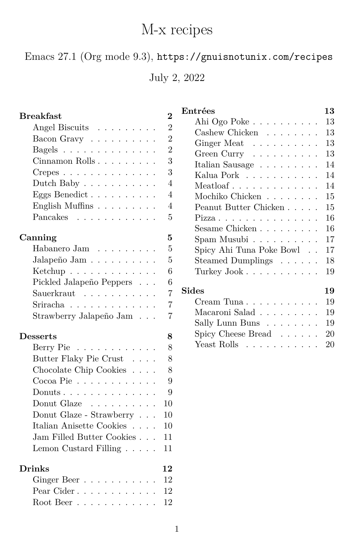# M-x recipes

<span id="page-0-0"></span>Emacs 27.1 (Org mode 9.3), <https://gnuisnotunix.com/recipes>

July 2, 2022

| Entrées<br><b>Breakfast</b><br>$\overline{2}$<br>Ahi Ogo Poke<br>$\overline{2}$<br>Angel Biscuits<br>Cashew Chicken $\ldots \ldots$<br>$\overline{2}$<br>Bacon Gravy<br>Ginger Meat<br>$\overline{2}$<br>Bagels<br>Green Curry | 13<br>13<br>13<br>13<br>13<br>14<br>14<br>14<br>15 |
|--------------------------------------------------------------------------------------------------------------------------------------------------------------------------------------------------------------------------------|----------------------------------------------------|
|                                                                                                                                                                                                                                |                                                    |
|                                                                                                                                                                                                                                |                                                    |
|                                                                                                                                                                                                                                |                                                    |
|                                                                                                                                                                                                                                |                                                    |
| 3<br>Cinnamon Rolls<br>Italian Sausage<br>$\hfill\ldots$ $\hfill\ldots$ $\hfill\ldots$ $\hfill\ldots$                                                                                                                          |                                                    |
| 3<br>$C$ repes<br>Kalua Pork                                                                                                                                                                                                   |                                                    |
| $\overline{4}$<br>Dutch Baby $\dots \dots \dots \dots$                                                                                                                                                                         |                                                    |
| Eggs Benedict<br>4<br>Mochiko Chicken                                                                                                                                                                                          |                                                    |
| English Muffins<br>4<br>Peanut Butter Chicken                                                                                                                                                                                  | 15                                                 |
| Pancakes<br>5<br>Pizza                                                                                                                                                                                                         | 16                                                 |
| Sesame Chicken                                                                                                                                                                                                                 | 16                                                 |
| 5<br>Canning<br>Spam Musubi                                                                                                                                                                                                    | 17                                                 |
| Habanero Jam $\quad \ldots \; \ldots \; \ldots$ .<br>5<br>Spicy Ahi Tuna Poke Bowl $\phantom{1}$ .                                                                                                                             | 17                                                 |
| $\overline{5}$<br>Jalapeño Jam $\ldots \ldots \ldots \ldots$<br>Steamed Dumplings $\hfill\ldots\ldots\ldots$                                                                                                                   | 18                                                 |
| 6<br>Ketchup $\ldots \ldots \ldots \ldots$<br>Turkey Jook                                                                                                                                                                      | 19                                                 |
| 6<br>Pickled Jalapeño Peppers                                                                                                                                                                                                  |                                                    |
| <b>Sides</b><br>$\overline{7}$<br>Sauerkraut                                                                                                                                                                                   | 19                                                 |
| Cream Tuna $\ldots \ldots \ldots$<br>Sriracha<br>$\overline{7}$                                                                                                                                                                | 19                                                 |
| Macaroni Salad<br>$\overline{7}$<br>Strawberry Jalapeño Jam                                                                                                                                                                    | 19                                                 |
| Sally Lunn Buns                                                                                                                                                                                                                | 19                                                 |
| Spicy Cheese Bread $\ldots$<br><b>Desserts</b><br>8                                                                                                                                                                            | 20                                                 |
| Yeast Rolls<br>8<br>Berry Pie                                                                                                                                                                                                  | 20                                                 |
| Butter Flaky Pie Crust<br>8<br>$\sim 100$ km s $^{-1}$                                                                                                                                                                         |                                                    |
| Chocolate Chip Cookies $\ . \ . \ .$ .<br>8                                                                                                                                                                                    |                                                    |
| $Cocoa Pie$<br>9                                                                                                                                                                                                               |                                                    |
| Donuts<br>9                                                                                                                                                                                                                    |                                                    |
| Donut Glaze<br>10<br>.                                                                                                                                                                                                         |                                                    |
| Donut Glaze - Strawberry $\ldots$<br>10                                                                                                                                                                                        |                                                    |
| Italian Anisette Cookies<br>10                                                                                                                                                                                                 |                                                    |
| Jam Filled Butter Cookies<br>11                                                                                                                                                                                                |                                                    |
| Lemon Custard Filling<br>11                                                                                                                                                                                                    |                                                    |
| <b>Drinks</b><br>12                                                                                                                                                                                                            |                                                    |
| 12<br>Ginger Beer                                                                                                                                                                                                              |                                                    |
| 12<br>Pear Cider                                                                                                                                                                                                               |                                                    |
| 12<br>Root Beer $\ldots \ldots \ldots \ldots$                                                                                                                                                                                  |                                                    |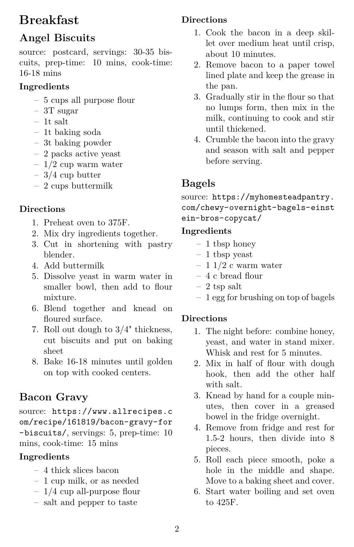## **Breakfast**

## **Angel Biscuits**

<span id="page-1-0"></span>source: postcard, servings: 30-35 biscuits, prep-time: 10 mins, cook-time: 16-18 mins

## **Ingredients**

- 5 cups all purpose flour
- 3T sugar
- 1t salt
- 1t baking soda
- 3t baking powder
- 2 packs active yeast
- $-1/2$  cup warm water
- $-3/4$  cup butter
- 2 cups buttermilk

## **Directions**

- 1. Preheat oven to 375F.
- 2. Mix dry ingredients together.
- 3. Cut in shortening with pastry blender.
- 4. Add buttermilk
- 5. Dissolve yeast in warm water in smaller bowl, then add to flour mixture.
- 6. Blend together and knead on floured surface.
- 7. Roll out dough to 3/4" thickness, cut biscuits and put on baking sheet
- <span id="page-1-1"></span>8. Bake 16-18 minutes until golden on top with cooked centers.

## **Bacon Gravy**

source: [https://www.allrecipes.c](https://www.allrecipes.com/recipe/161819/bacon-gravy-for-biscuits/) [om/recipe/161819/bacon-gravy-for](https://www.allrecipes.com/recipe/161819/bacon-gravy-for-biscuits/) [-biscuits/](https://www.allrecipes.com/recipe/161819/bacon-gravy-for-biscuits/), servings: 5, prep-time: 10 mins, cook-time: 15 mins

## **Ingredients**

- 4 thick slices bacon
- 1 cup milk, or as needed
- 1/4 cup all-purpose flour
- salt and pepper to taste

## **Directions**

- 1. Cook the bacon in a deep skillet over medium heat until crisp, about 10 minutes.
- 2. Remove bacon to a paper towel lined plate and keep the grease in the pan.
- 3. Gradually stir in the flour so that no lumps form, then mix in the milk, continuing to cook and stir until thickened.
- <span id="page-1-2"></span>4. Crumble the bacon into the gravy and season with salt and pepper before serving.

## **Bagels**

source: [https://myhomesteadpantry.](https://myhomesteadpantry.com/chewy-overnight-bagels-einstein-bros-copycat/) [com/chewy-overnight-bagels-einst](https://myhomesteadpantry.com/chewy-overnight-bagels-einstein-bros-copycat/) [ein-bros-copycat/](https://myhomesteadpantry.com/chewy-overnight-bagels-einstein-bros-copycat/)

#### **Ingredients**

- 1 tbsp honey
- 1 tbsp yeast
- $-11/2$  c warm water
- 4 c bread flour
- 2 tsp salt
- 1 egg for brushing on top of bagels

- 1. The night before: combine honey, yeast, and water in stand mixer. Whisk and rest for 5 minutes.
- 2. Mix in half of flour with dough hook, then add the other half with salt.
- 3. Knead by hand for a couple minutes, then cover in a greased bowel in the fridge overnight.
- 4. Remove from fridge and rest for 1.5-2 hours, then divide into 8 pieces.
- 5. Roll each piece smooth, poke a hole in the middle and shape. Move to a baking sheet and cover.
- 6. Start water boiling and set oven to 425F.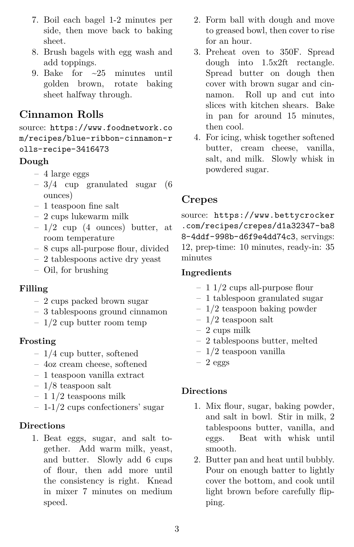- 7. Boil each bagel 1-2 minutes per side, then move back to baking sheet.
- 8. Brush bagels with egg wash and add toppings.
- <span id="page-2-0"></span>9. Bake for ~25 minutes until golden brown, rotate baking sheet halfway through.

### **Cinnamon Rolls**

source: [https://www.foodnetwork.co](https://www.foodnetwork.com/recipes/blue-ribbon-cinnamon-rolls-recipe-3416473) [m/recipes/blue-ribbon-cinnamon-r](https://www.foodnetwork.com/recipes/blue-ribbon-cinnamon-rolls-recipe-3416473) [olls-recipe-3416473](https://www.foodnetwork.com/recipes/blue-ribbon-cinnamon-rolls-recipe-3416473)

#### **Dough**

- 4 large eggs
- 3/4 cup granulated sugar (6 ounces)
- 1 teaspoon fine salt
- 2 cups lukewarm milk
- $-1/2$  cup (4 ounces) butter, at room temperature
- 8 cups all-purpose flour, divided
- 2 tablespoons active dry yeast
- Oil, for brushing

#### **Filling**

- 2 cups packed brown sugar
- 3 tablespoons ground cinnamon
- $-1/2$  cup butter room temp

#### **Frosting**

- 1/4 cup butter, softened
- 4oz cream cheese, softened
- 1 teaspoon vanilla extract
- 1/8 teaspoon salt
- $-11/2$  teaspoons milk
- 1-1/2 cups confectioners' sugar

#### **Directions**

1. Beat eggs, sugar, and salt together. Add warm milk, yeast, and butter. Slowly add 6 cups of flour, then add more until the consistency is right. Knead in mixer 7 minutes on medium speed.

- 2. Form ball with dough and move to greased bowl, then cover to rise for an hour.
- 3. Preheat oven to 350F. Spread dough into 1.5x2ft rectangle. Spread butter on dough then cover with brown sugar and cinnamon. Roll up and cut into slices with kitchen shears. Bake in pan for around 15 minutes, then cool.
- <span id="page-2-1"></span>4. For icing, whisk together softened butter, cream cheese, vanilla, salt, and milk. Slowly whisk in powdered sugar.

### **Crepes**

source: [https://www.bettycrocker](https://www.bettycrocker.com/recipes/crepes/d1a32347-ba88-4ddf-998b-d6f9e4dd74c3) [.com/recipes/crepes/d1a32347-ba8](https://www.bettycrocker.com/recipes/crepes/d1a32347-ba88-4ddf-998b-d6f9e4dd74c3) [8-4ddf-998b-d6f9e4dd74c3](https://www.bettycrocker.com/recipes/crepes/d1a32347-ba88-4ddf-998b-d6f9e4dd74c3), servings: 12, prep-time: 10 minutes, ready-in: 35 minutes

#### **Ingredients**

- 1 1/2 cups all-purpose flour
- 1 tablespoon granulated sugar
- 1/2 teaspoon baking powder
- $-1/2$  teaspoon salt
- 2 cups milk
- 2 tablespoons butter, melted
- 1/2 teaspoon vanilla
- $-2$  eggs

- 1. Mix flour, sugar, baking powder, and salt in bowl. Stir in milk, 2 tablespoons butter, vanilla, and eggs. Beat with whisk until smooth.
- <span id="page-2-2"></span>2. Butter pan and heat until bubbly. Pour on enough batter to lightly cover the bottom, and cook until light brown before carefully flipping.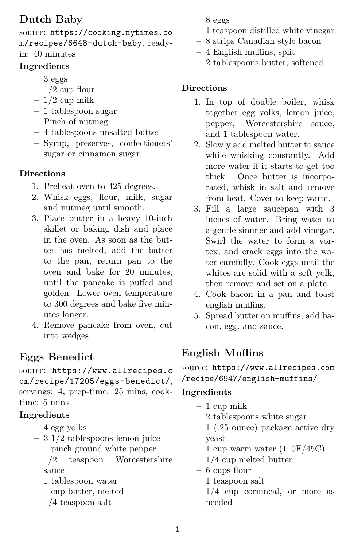## **Dutch Baby**

source: [https://cooking.nytimes.co](https://cooking.nytimes.com/recipes/6648-dutch-baby) [m/recipes/6648-dutch-baby](https://cooking.nytimes.com/recipes/6648-dutch-baby), readyin: 40 minutes

#### **Ingredients**

- $-3$  eggs
- $-1/2$  cup flour
- $-1/2$  cup milk
- 1 tablespoon sugar
- Pinch of nutmeg
- 4 tablespoons unsalted butter
- Syrup, preserves, confectioners' sugar or cinnamon sugar

#### **Directions**

- 1. Preheat oven to 425 degrees.
- 2. Whisk eggs, flour, milk, sugar and nutmeg until smooth.
- 3. Place butter in a heavy 10-inch skillet or baking dish and place in the oven. As soon as the butter has melted, add the batter to the pan, return pan to the oven and bake for 20 minutes, until the pancake is puffed and golden. Lower oven temperature to 300 degrees and bake five minutes longer.
- <span id="page-3-0"></span>4. Remove pancake from oven, cut into wedges

## **Eggs Benedict**

source: [https://www.allrecipes.c](https://www.allrecipes.com/recipe/17205/eggs-benedict/) [om/recipe/17205/eggs-benedict/](https://www.allrecipes.com/recipe/17205/eggs-benedict/), servings: 4, prep-time: 25 mins, cooktime: 5 mins

### **Ingredients**

- 4 egg yolks
- 3 1/2 tablespoons lemon juice
- 1 pinch ground white pepper
- 1/2 teaspoon Worcestershire sauce
- 1 tablespoon water
- 1 cup butter, melted
- 1/4 teaspoon salt
- $-8$  eggs
- 1 teaspoon distilled white vinegar
- 8 strips Canadian-style bacon
- 4 English muffins, split
- 2 tablespoons butter, softened

## **Directions**

- 1. In top of double boiler, whisk together egg yolks, lemon juice, pepper, Worcestershire sauce, and 1 tablespoon water.
- 2. Slowly add melted butter to sauce while whisking constantly. Add more water if it starts to get too thick. Once butter is incorporated, whisk in salt and remove from heat. Cover to keep warm.
- 3. Fill a large saucepan with 3 inches of water. Bring water to a gentle simmer and add vinegar. Swirl the water to form a vortex, and crack eggs into the water carefully. Cook eggs until the whites are solid with a soft yolk, then remove and set on a plate.
- 4. Cook bacon in a pan and toast english muffins.
- <span id="page-3-1"></span>5. Spread butter on muffins, add bacon, egg, and sauce.

## **English Muffins**

source: [https://www.allrecipes.com](https://www.allrecipes.com/recipe/6947/english-muffins/) [/recipe/6947/english-muffins/](https://www.allrecipes.com/recipe/6947/english-muffins/)

- 1 cup milk
- 2 tablespoons white sugar
- 1 (.25 ounce) package active dry yeast
- 1 cup warm water  $(110F/45C)$
- $-1/4$  cup melted butter
- 6 cups flour
- 1 teaspoon salt
- 1/4 cup cornmeal, or more as needed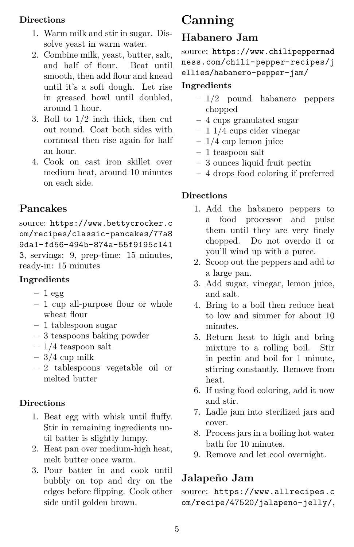- 1. Warm milk and stir in sugar. Dissolve yeast in warm water.
- 2. Combine milk, yeast, butter, salt, and half of flour. Beat until smooth, then add flour and knead until it's a soft dough. Let rise in greased bowl until doubled, around 1 hour.
- 3. Roll to 1/2 inch thick, then cut out round. Coat both sides with cornmeal then rise again for half an hour.
- <span id="page-4-0"></span>4. Cook on cast iron skillet over medium heat, around 10 minutes on each side.

## **Pancakes**

source: [https://www.bettycrocker.c](https://www.bettycrocker.com/recipes/classic-pancakes/77a89da1-fd56-494b-874a-55f9195c1413) [om/recipes/classic-pancakes/77a8](https://www.bettycrocker.com/recipes/classic-pancakes/77a89da1-fd56-494b-874a-55f9195c1413) [9da1-fd56-494b-874a-55f9195c141](https://www.bettycrocker.com/recipes/classic-pancakes/77a89da1-fd56-494b-874a-55f9195c1413) [3](https://www.bettycrocker.com/recipes/classic-pancakes/77a89da1-fd56-494b-874a-55f9195c1413), servings: 9, prep-time: 15 minutes, ready-in: 15 minutes

### **Ingredients**

- $-1$  egg
- 1 cup all-purpose flour or whole wheat flour
- 1 tablespoon sugar
- 3 teaspoons baking powder
- $-1/4$  teaspoon salt
- $-3/4$  cup milk
- 2 tablespoons vegetable oil or melted butter

### **Directions**

- 1. Beat egg with whisk until fluffy. Stir in remaining ingredients until batter is slightly lumpy.
- 2. Heat pan over medium-high heat, melt butter once warm.
- <span id="page-4-1"></span>3. Pour batter in and cook until bubbly on top and dry on the edges before flipping. Cook other side until golden brown.

# **Canning**

## **Habanero Jam**

<span id="page-4-2"></span>source: [https://www.chilipeppermad](https://www.chilipeppermadness.com/chili-pepper-recipes/jellies/habanero-pepper-jam/) [ness.com/chili-pepper-recipes/j](https://www.chilipeppermadness.com/chili-pepper-recipes/jellies/habanero-pepper-jam/) [ellies/habanero-pepper-jam/](https://www.chilipeppermadness.com/chili-pepper-recipes/jellies/habanero-pepper-jam/)

### **Ingredients**

- 1/2 pound habanero peppers chopped
- 4 cups granulated sugar
- $-11/4$  cups cider vinegar
- $-1/4$  cup lemon juice
- $-1$  teaspoon salt
- 3 ounces liquid fruit pectin
- 4 drops food coloring if preferred

#### **Directions**

- 1. Add the habanero peppers to a food processor and pulse them until they are very finely chopped. Do not overdo it or you'll wind up with a puree.
- 2. Scoop out the peppers and add to a large pan.
- 3. Add sugar, vinegar, lemon juice, and salt.
- 4. Bring to a boil then reduce heat to low and simmer for about 10 minutes.
- 5. Return heat to high and bring mixture to a rolling boil. Stir in pectin and boil for 1 minute, stirring constantly. Remove from heat.
- 6. If using food coloring, add it now and stir.
- 7. Ladle jam into sterilized jars and cover.
- 8. Process jars in a boiling hot water bath for 10 minutes.
- <span id="page-4-3"></span>9. Remove and let cool overnight.

## **Jalapeño Jam**

source: [https://www.allrecipes.c](https://www.allrecipes.com/recipe/47520/jalapeno-jelly/) [om/recipe/47520/jalapeno-jelly/](https://www.allrecipes.com/recipe/47520/jalapeno-jelly/),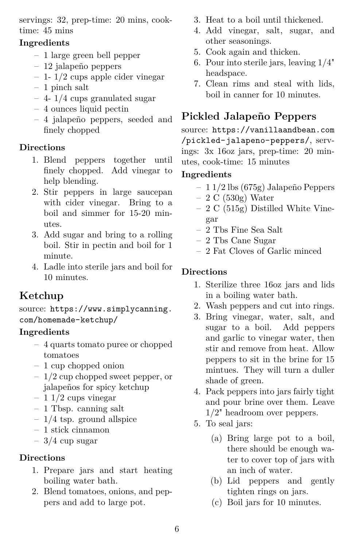servings: 32, prep-time: 20 mins, cooktime: 45 mins

#### **Ingredients**

- 1 large green bell pepper
- 12 jalapeño peppers
- $-1$  1/2 cups apple cider vinegar
- 1 pinch salt
- 4- 1/4 cups granulated sugar
- 4 ounces liquid pectin
- 4 jalapeño peppers, seeded and finely chopped

#### **Directions**

- 1. Blend peppers together until finely chopped. Add vinegar to help blending.
- 2. Stir peppers in large saucepan with cider vinegar. Bring to a boil and simmer for 15-20 minutes.
- 3. Add sugar and bring to a rolling boil. Stir in pectin and boil for 1 minute.
- <span id="page-5-0"></span>4. Ladle into sterile jars and boil for 10 minutes.

## **Ketchup**

source: [https://www.simplycanning.](https://www.simplycanning.com/homemade-ketchup/) [com/homemade-ketchup/](https://www.simplycanning.com/homemade-ketchup/)

#### **Ingredients**

- 4 quarts tomato puree or chopped tomatoes
- 1 cup chopped onion
- 1/2 cup chopped sweet pepper, or jalapeños for spicy ketchup
- $-11/2$  cups vinegar
- 1 Tbsp. canning salt
- $-1/4$  tsp. ground allspice
- 1 stick cinnamon
- $-3/4$  cup sugar

#### **Directions**

- 1. Prepare jars and start heating boiling water bath.
- 2. Blend tomatoes, onions, and peppers and add to large pot.
- 3. Heat to a boil until thickened.
- 4. Add vinegar, salt, sugar, and other seasonings.
- 5. Cook again and thicken.
- 6. Pour into sterile jars, leaving 1/4" headspace.
- <span id="page-5-1"></span>7. Clean rims and steal with lids, boil in canner for 10 minutes.

## **Pickled Jalapeño Peppers**

source: [https://vanillaandbean.com](https://vanillaandbean.com/pickled-jalapeno-peppers/) [/pickled-jalapeno-peppers/](https://vanillaandbean.com/pickled-jalapeno-peppers/), servings: 3x 16oz jars, prep-time: 20 minutes, cook-time: 15 minutes

#### **Ingredients**

- 1 1/2 lbs (675g) Jalapeño Peppers
- $-2 C (530g) Water$
- 2 C (515g) Distilled White Vinegar
- 2 Tbs Fine Sea Salt
- 2 Tbs Cane Sugar
- 2 Fat Cloves of Garlic minced

- 1. Sterilize three 16oz jars and lids in a boiling water bath.
- 2. Wash peppers and cut into rings.
- 3. Bring vinegar, water, salt, and sugar to a boil. Add peppers and garlic to vinegar water, then stir and remove from heat. Allow peppers to sit in the brine for 15 mintues. They will turn a duller shade of green.
- 4. Pack peppers into jars fairly tight and pour brine over them. Leave 1/2" headroom over peppers.
- 5. To seal jars:
	- (a) Bring large pot to a boil, there should be enough water to cover top of jars with an inch of water.
	- (b) Lid peppers and gently tighten rings on jars.
	- (c) Boil jars for 10 minutes.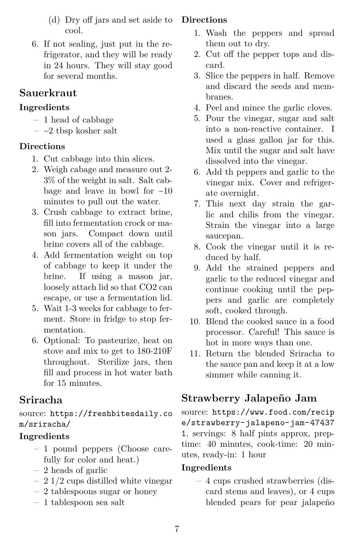- (d) Dry off jars and set aside to cool.
- <span id="page-6-0"></span>6. If not sealing, just put in the refrigerator, and they will be ready in 24 hours. They will stay good for several months.

### **Sauerkraut**

#### **Ingredients**

- 1 head of cabbage
- $-$  ~2 tbsp kosher salt

#### **Directions**

- 1. Cut cabbage into thin slices.
- 2. Weigh cabage and measure out 2- 3% of the weight in salt. Salt cabbage and leave in bowl for  $\sim 10$ minutes to pull out the water.
- 3. Crush cabbage to extract brine, fill into fermentation crock or mason jars. Compact down until brine covers all of the cabbage.
- 4. Add fermentation weight on top of cabbage to keep it under the brine. If using a mason jar, loosely attach lid so that CO2 can escape, or use a fermentation lid.
- 5. Wait 1-3 weeks for cabbage to ferment. Store in fridge to stop fermentation.
- <span id="page-6-1"></span>6. Optional: To pasteurize, heat on stove and mix to get to 180-210F throughout. Sterilize jars, then fill and process in hot water bath for 15 minutes.

## **Sriracha**

source: [https://freshbitesdaily.co](https://freshbitesdaily.com/sriracha/) [m/sriracha/](https://freshbitesdaily.com/sriracha/)

### **Ingredients**

- 1 pound peppers (Choose carefully for color and heat.)
- 2 heads of garlic
- 2 1/2 cups distilled white vinegar
- 2 tablespoons sugar or honey
- 1 tablespoon sea salt

#### **Directions**

- 1. Wash the peppers and spread them out to dry.
- 2. Cut off the pepper tops and discard.
- 3. Slice the peppers in half. Remove and discard the seeds and membranes.
- 4. Peel and mince the garlic cloves.
- 5. Pour the vinegar, sugar and salt into a non-reactive container. I used a glass gallon jar for this. Mix until the sugar and salt have dissolved into the vinegar.
- 6. Add th peppers and garlic to the vinegar mix. Cover and refrigerate overnight.
- 7. This next day strain the garlic and chilis from the vinegar. Strain the vinegar into a large saucepan.
- 8. Cook the vinegar until it is reduced by half.
- 9. Add the strained peppers and garlic to the reduced vinegar and continue cooking until the peppers and garlic are completely soft, cooked through.
- 10. Blend the cooked sauce in a food processor. Careful! This sauce is hot in more ways than one.
- <span id="page-6-2"></span>11. Return the blended Sriracha to the sauce pan and keep it at a low simmer while canning it.

## **Strawberry Jalapeño Jam**

source: [https://www.food.com/recip](https://www.food.com/recipe/strawberry-jalapeno-jam-474371) [e/strawberry-jalapeno-jam-47437](https://www.food.com/recipe/strawberry-jalapeno-jam-474371) [1](https://www.food.com/recipe/strawberry-jalapeno-jam-474371), servings: 8 half pints approx, preptime: 40 minutes, cook-time: 20 minutes, ready-in: 1 hour

#### **Ingredients**

– 4 cups crushed strawberries (discard stems and leaves), or 4 cups blended pears for pear jalapeño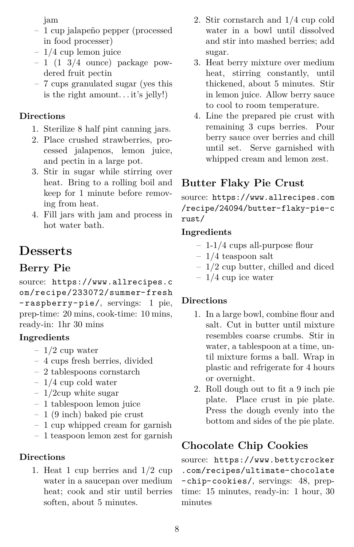jam

- 1 cup jalapeño pepper (processed in food processer)
- 1/4 cup lemon juice
- $-1$  (1 3/4 ounce) package powdered fruit pectin
- 7 cups granulated sugar (yes this is the right amount. . . it's jelly!)

#### **Directions**

- 1. Sterilize 8 half pint canning jars.
- 2. Place crushed strawberries, processed jalapenos, lemon juice, and pectin in a large pot.
- 3. Stir in sugar while stirring over heat. Bring to a rolling boil and keep for 1 minute before removing from heat.
- <span id="page-7-0"></span>4. Fill jars with jam and process in hot water bath.

## **Desserts**

## **Berry Pie**

<span id="page-7-1"></span>source: [https://www.allrecipes.c](https://www.allrecipes.com/recipe/233072/summer-fresh-raspberry-pie/) [om/recipe/233072/summer- fresh](https://www.allrecipes.com/recipe/233072/summer-fresh-raspberry-pie/) [- raspberry- pie/](https://www.allrecipes.com/recipe/233072/summer-fresh-raspberry-pie/), servings: 1 pie, prep-time: 20 mins, cook-time: 10 mins, ready-in: 1hr 30 mins

#### **Ingredients**

- $-1/2$  cup water
- 4 cups fresh berries, divided
- 2 tablespoons cornstarch
- 1/4 cup cold water
- $-1/2$ cup white sugar
- 1 tablespoon lemon juice
- 1 (9 inch) baked pie crust
- 1 cup whipped cream for garnish
- 1 teaspoon lemon zest for garnish

### **Directions**

1. Heat 1 cup berries and 1/2 cup water in a saucepan over medium heat; cook and stir until berries soften, about 5 minutes.

- 2. Stir cornstarch and 1/4 cup cold water in a bowl until dissolved and stir into mashed berries; add sugar.
- 3. Heat berry mixture over medium heat, stirring constantly, until thickened, about 5 minutes. Stir in lemon juice. Allow berry sauce to cool to room temperature.
- <span id="page-7-2"></span>4. Line the prepared pie crust with remaining 3 cups berries. Pour berry sauce over berries and chill until set. Serve garnished with whipped cream and lemon zest.

## **Butter Flaky Pie Crust**

source: [https://www.allrecipes.com](https://www.allrecipes.com/recipe/24094/butter-flaky-pie-crust/) [/recipe/24094/butter-flaky-pie-c](https://www.allrecipes.com/recipe/24094/butter-flaky-pie-crust/) [rust/](https://www.allrecipes.com/recipe/24094/butter-flaky-pie-crust/)

#### **Ingredients**

- 1-1/4 cups all-purpose flour
- $-1/4$  teaspoon salt
- 1/2 cup butter, chilled and diced
- $-1/4$  cup ice water

#### **Directions**

- 1. In a large bowl, combine flour and salt. Cut in butter until mixture resembles coarse crumbs. Stir in water, a tablespoon at a time, until mixture forms a ball. Wrap in plastic and refrigerate for 4 hours or overnight.
- <span id="page-7-3"></span>2. Roll dough out to fit a 9 inch pie plate. Place crust in pie plate. Press the dough evenly into the bottom and sides of the pie plate.

## **Chocolate Chip Cookies**

source: [https://www.bettycrocker](https://www.bettycrocker.com/recipes/ultimate-chocolate-chip-cookies/) [.com/recipes/ultimate-chocolate](https://www.bettycrocker.com/recipes/ultimate-chocolate-chip-cookies/) [-chip-cookies/](https://www.bettycrocker.com/recipes/ultimate-chocolate-chip-cookies/), servings: 48, preptime: 15 minutes, ready-in: 1 hour, 30 minutes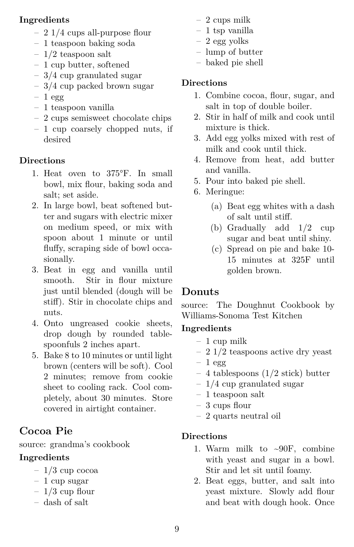#### **Ingredients**

- 2 1/4 cups all-purpose flour
- 1 teaspoon baking soda
- $-1/2$  teaspoon salt
- 1 cup butter, softened
- 3/4 cup granulated sugar
- 3/4 cup packed brown sugar
- $-1$  egg
- 1 teaspoon vanilla
- 2 cups semisweet chocolate chips
- 1 cup coarsely chopped nuts, if desired

#### **Directions**

- 1. Heat oven to 375°F. In small bowl, mix flour, baking soda and salt; set aside.
- 2. In large bowl, beat softened butter and sugars with electric mixer on medium speed, or mix with spoon about 1 minute or until fluffy, scraping side of bowl occasionally.
- 3. Beat in egg and vanilla until smooth. Stir in flour mixture just until blended (dough will be stiff). Stir in chocolate chips and nuts.
- 4. Onto ungreased cookie sheets, drop dough by rounded tablespoonfuls 2 inches apart.
- <span id="page-8-0"></span>5. Bake 8 to 10 minutes or until light brown (centers will be soft). Cool 2 minutes; remove from cookie sheet to cooling rack. Cool completely, about 30 minutes. Store covered in airtight container.

## **Cocoa Pie**

source: grandma's cookbook

#### **Ingredients**

- $-1/3$  cup cocoa
- 1 cup sugar
- $-1/3$  cup flour
- dash of salt
- 2 cups milk
- 1 tsp vanilla
- 2 egg yolks
- lump of butter
- baked pie shell

#### **Directions**

- 1. Combine cocoa, flour, sugar, and salt in top of double boiler.
- 2. Stir in half of milk and cook until mixture is thick.
- 3. Add egg yolks mixed with rest of milk and cook until thick.
- 4. Remove from heat, add butter and vanilla.
- 5. Pour into baked pie shell.
- 6. Meringue:
	- (a) Beat egg whites with a dash of salt until stiff.
	- (b) Gradually add 1/2 cup sugar and beat until shiny.
	- (c) Spread on pie and bake 10- 15 minutes at 325F until golden brown.

### <span id="page-8-1"></span>**Donuts**

source: The Doughnut Cookbook by Williams-Sonoma Test Kitchen

#### **Ingredients**

- 1 cup milk
- 2 1/2 teaspoons active dry yeast
- $-1$  egg
- 4 tablespoons (1/2 stick) butter
- 1/4 cup granulated sugar
- 1 teaspoon salt
- 3 cups flour
- 2 quarts neutral oil

- 1. Warm milk to  $\sim 90$ F, combine with yeast and sugar in a bowl. Stir and let sit until foamy.
- 2. Beat eggs, butter, and salt into yeast mixture. Slowly add flour and beat with dough hook. Once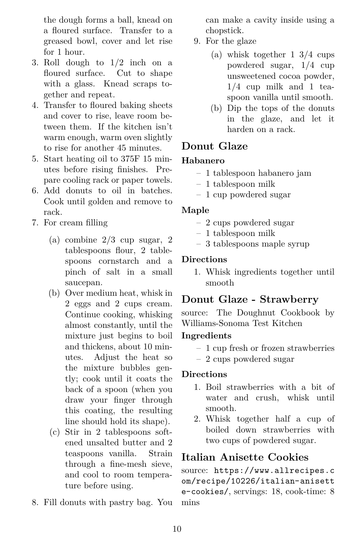the dough forms a ball, knead on a floured surface. Transfer to a greased bowl, cover and let rise for 1 hour.

- 3. Roll dough to 1/2 inch on a floured surface. Cut to shape with a glass. Knead scraps together and repeat.
- 4. Transfer to floured baking sheets and cover to rise, leave room between them. If the kitchen isn't warm enough, warm oven slightly to rise for another 45 minutes.
- 5. Start heating oil to 375F 15 minutes before rising finishes. Prepare cooling rack or paper towels.
- 6. Add donuts to oil in batches. Cook until golden and remove to rack.
- 7. For cream filling
	- (a) combine 2/3 cup sugar, 2 tablespoons flour, 2 tablespoons cornstarch and a pinch of salt in a small saucepan.
	- (b) Over medium heat, whisk in 2 eggs and 2 cups cream. Continue cooking, whisking almost constantly, until the mixture just begins to boil and thickens, about 10 minutes. Adjust the heat so the mixture bubbles gently; cook until it coats the back of a spoon (when you draw your finger through this coating, the resulting line should hold its shape).
	- (c) Stir in 2 tablespoons softened unsalted butter and 2 teaspoons vanilla. Strain through a fine-mesh sieve, and cool to room temperature before using.
- 8. Fill donuts with pastry bag. You

can make a cavity inside using a chopstick.

- 9. For the glaze
	- (a) whisk together 1 3/4 cups powdered sugar, 1/4 cup unsweetened cocoa powder, 1/4 cup milk and 1 teaspoon vanilla until smooth.
	- (b) Dip the tops of the donuts in the glaze, and let it harden on a rack.

### <span id="page-9-0"></span>**Donut Glaze**

#### **Habanero**

- 1 tablespoon habanero jam
- 1 tablespoon milk
- 1 cup powdered sugar

#### **Maple**

- 2 cups powdered sugar
- 1 tablespoon milk
- 3 tablespoons maple syrup

#### <span id="page-9-1"></span>**Directions**

1. Whisk ingredients together until smooth

#### **Donut Glaze - Strawberry**

source: The Doughnut Cookbook by Williams-Sonoma Test Kitchen

#### **Ingredients**

- 1 cup fresh or frozen strawberries
- 2 cups powdered sugar

#### **Directions**

- 1. Boil strawberries with a bit of water and crush, whisk until smooth.
- <span id="page-9-2"></span>2. Whisk together half a cup of boiled down strawberries with two cups of powdered sugar.

#### **Italian Anisette Cookies**

source: [https://www.allrecipes.c](https://www.allrecipes.com/recipe/10226/italian-anisette-cookies/) [om/recipe/10226/italian-anisett](https://www.allrecipes.com/recipe/10226/italian-anisette-cookies/) [e-cookies/](https://www.allrecipes.com/recipe/10226/italian-anisette-cookies/), servings: 18, cook-time: 8 mins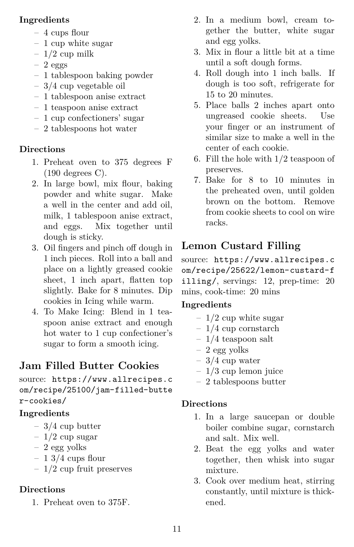#### **Ingredients**

- 4 cups flour
- 1 cup white sugar
- $-1/2$  cup milk
- $-2$  eggs
- 1 tablespoon baking powder
- 3/4 cup vegetable oil
- 1 tablespoon anise extract
- 1 teaspoon anise extract
- 1 cup confectioners' sugar
- 2 tablespoons hot water

### **Directions**

- 1. Preheat oven to 375 degrees F (190 degrees C).
- 2. In large bowl, mix flour, baking powder and white sugar. Make a well in the center and add oil, milk, 1 tablespoon anise extract, and eggs. Mix together until dough is sticky.
- 3. Oil fingers and pinch off dough in 1 inch pieces. Roll into a ball and place on a lightly greased cookie sheet, 1 inch apart, flatten top slightly. Bake for 8 minutes. Dip cookies in Icing while warm.
- <span id="page-10-0"></span>4. To Make Icing: Blend in 1 teaspoon anise extract and enough hot water to 1 cup confectioner's sugar to form a smooth icing.

## **Jam Filled Butter Cookies**

source: [https://www.allrecipes.c](https://www.allrecipes.com/recipe/25100/jam-filled-butter-cookies/) [om/recipe/25100/jam-filled-butte](https://www.allrecipes.com/recipe/25100/jam-filled-butter-cookies/) [r-cookies/](https://www.allrecipes.com/recipe/25100/jam-filled-butter-cookies/)

## **Ingredients**

- $-3/4$  cup butter
- $-1/2$  cup sugar
- 2 egg yolks
- $-13/4$  cups flour
- $-1/2$  cup fruit preserves

## **Directions**

1. Preheat oven to 375F.

- 2. In a medium bowl, cream together the butter, white sugar and egg yolks.
- 3. Mix in flour a little bit at a time until a soft dough forms.
- 4. Roll dough into 1 inch balls. If dough is too soft, refrigerate for 15 to 20 minutes.
- 5. Place balls 2 inches apart onto ungreased cookie sheets. Use your finger or an instrument of similar size to make a well in the center of each cookie.
- 6. Fill the hole with 1/2 teaspoon of preserves.
- <span id="page-10-1"></span>7. Bake for 8 to 10 minutes in the preheated oven, until golden brown on the bottom. Remove from cookie sheets to cool on wire racks.

## **Lemon Custard Filling**

source: [https://www.allrecipes.c](https://www.allrecipes.com/recipe/25622/lemon-custard-filling/) [om/recipe/25622/lemon-custard-f](https://www.allrecipes.com/recipe/25622/lemon-custard-filling/) [illing/](https://www.allrecipes.com/recipe/25622/lemon-custard-filling/), servings: 12, prep-time: 20 mins, cook-time: 20 mins

## **Ingredients**

- $-1/2$  cup white sugar
- $-1/4$  cup cornstarch
- $-1/4$  teaspoon salt
- 2 egg yolks
- $-3/4$  cup water
- $-1/3$  cup lemon juice
- 2 tablespoons butter

- 1. In a large saucepan or double boiler combine sugar, cornstarch and salt. Mix well.
- 2. Beat the egg yolks and water together, then whisk into sugar mixture.
- 3. Cook over medium heat, stirring constantly, until mixture is thickened.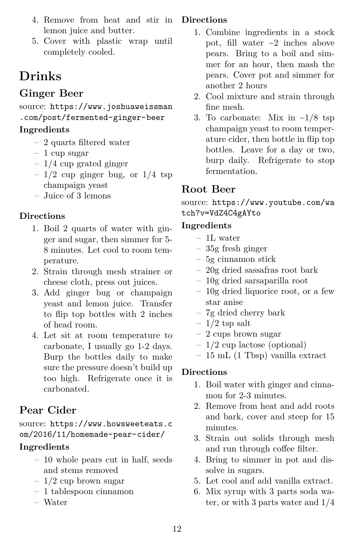- 4. Remove from heat and stir in lemon juice and butter.
- <span id="page-11-0"></span>5. Cover with plastic wrap until completely cooled.

# **Drinks**

## **Ginger Beer**

<span id="page-11-1"></span>source: [https://www.joshuaweissman](https://www.joshuaweissman.com/post/fermented-ginger-beer) [.com/post/fermented-ginger-beer](https://www.joshuaweissman.com/post/fermented-ginger-beer)

### **Ingredients**

- 2 quarts filtered water
- 1 cup sugar
- 1/4 cup grated ginger
- $-1/2$  cup ginger bug, or  $1/4$  tsp champaign yeast
- Juice of 3 lemons

## **Directions**

- 1. Boil 2 quarts of water with ginger and sugar, then simmer for 5- 8 minutes. Let cool to room temperature.
- 2. Strain through mesh strainer or cheese cloth, press out juices.
- 3. Add ginger bug or champaign yeast and lemon juice. Transfer to flip top bottles with 2 inches of head room.
- <span id="page-11-2"></span>4. Let sit at room temperature to carbonate, I usually go 1-2 days. Burp the bottles daily to make sure the pressure doesn't build up too high. Refrigerate once it is carbonated.

## **Pear Cider**

#### source: [https://www.howsweeteats.c](https://www.howsweeteats.com/2016/11/homemade-pear-cider/) [om/2016/11/homemade-pear-cider/](https://www.howsweeteats.com/2016/11/homemade-pear-cider/)

### **Ingredients**

- 10 whole pears cut in half, seeds and stems removed
- 1/2 cup brown sugar
- 1 tablespoon cinnamon
- Water

### **Directions**

- 1. Combine ingredients in a stock pot, fill water  $\sim$ 2 inches above pears. Bring to a boil and simmer for an hour, then mash the pears. Cover pot and simmer for another 2 hours
- 2. Cool mixture and strain through fine mesh.
- <span id="page-11-3"></span>3. To carbonate: Mix in  $\sim 1/8$  tsp champaign yeast to room temperature cider, then bottle in flip top bottles. Leave for a day or two, burp daily. Refrigerate to stop fermentation.

## **Root Beer**

source: [https://www.youtube.com/wa](https://www.youtube.com/watch?v=VdZ4C4gAYto) [tch?v=VdZ4C4gAYto](https://www.youtube.com/watch?v=VdZ4C4gAYto)

### **Ingredients**

- 1L water
- 35g fresh ginger
- 5g cinnamon stick
- 20g dried sassafras root bark
- 10g dried sarsaparilla root
- 10g dried liquorice root, or a few star anise
- 7g dried cherry bark
- $-1/2$  tsp salt
- 2 cups brown sugar
- 1/2 cup lactose (optional)
- 15 mL (1 Tbsp) vanilla extract

- 1. Boil water with ginger and cinnamon for 2-3 minutes.
- 2. Remove from heat and add roots and bark, cover and steep for 15 minutes.
- 3. Strain out solids through mesh and run through coffee filter.
- 4. Bring to simmer in pot and dissolve in sugars.
- 5. Let cool and add vanilla extract.
- <span id="page-11-4"></span>6. Mix syrup with 3 parts soda water, or with 3 parts water and 1/4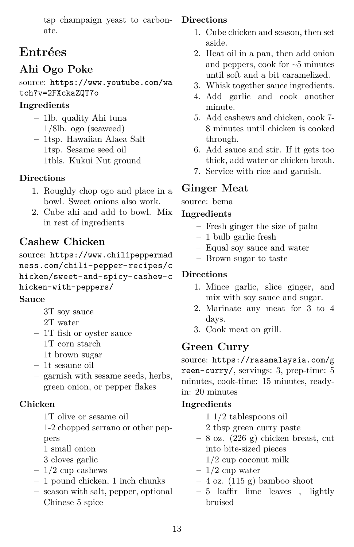tsp champaign yeast to carbonate.

## **Entrées**

## **Ahi Ogo Poke**

<span id="page-12-0"></span>source: [https://www.youtube.com/wa](https://www.youtube.com/watch?v=2FXckaZQT7o) [tch?v=2FXckaZQT7o](https://www.youtube.com/watch?v=2FXckaZQT7o)

### **Ingredients**

- 1lb. quality Ahi tuna
- 1/8lb. ogo (seaweed)
- 1tsp. Hawaiian Alaea Salt
- 1tsp. Sesame seed oil
- 1tbls. Kukui Nut ground

## **Directions**

- 1. Roughly chop ogo and place in a bowl. Sweet onions also work.
- <span id="page-12-1"></span>2. Cube ahi and add to bowl. Mix in rest of ingredients

## **Cashew Chicken**

source: [https://www.chilipeppermad](https://www.chilipeppermadness.com/chili-pepper-recipes/chicken/sweet-and-spicy-cashew-chicken-with-peppers/) [ness.com/chili-pepper-recipes/c](https://www.chilipeppermadness.com/chili-pepper-recipes/chicken/sweet-and-spicy-cashew-chicken-with-peppers/) [hicken/sweet-and-spicy-cashew-c](https://www.chilipeppermadness.com/chili-pepper-recipes/chicken/sweet-and-spicy-cashew-chicken-with-peppers/) [hicken-with-peppers/](https://www.chilipeppermadness.com/chili-pepper-recipes/chicken/sweet-and-spicy-cashew-chicken-with-peppers/)

### **Sauce**

- 3T soy sauce
- 2T water
- 1T fish or oyster sauce
- 1T corn starch
- 1t brown sugar
- 1t sesame oil
- garnish with sesame seeds, herbs, green onion, or pepper flakes

### **Chicken**

- 1T olive or sesame oil
- 1-2 chopped serrano or other peppers
- 1 small onion
- 3 cloves garlic
- $-1/2$  cup cashews
- 1 pound chicken, 1 inch chunks
- season with salt, pepper, optional Chinese 5 spice

### **Directions**

- 1. Cube chicken and season, then set aside.
- 2. Heat oil in a pan, then add onion and peppers, cook for ~5 minutes until soft and a bit caramelized.
- 3. Whisk together sauce ingredients.
- 4. Add garlic and cook another minute.
- 5. Add cashews and chicken, cook 7- 8 minutes until chicken is cooked through.
- 6. Add sauce and stir. If it gets too thick, add water or chicken broth.
- <span id="page-12-2"></span>7. Service with rice and garnish.

## **Ginger Meat**

source: bema

### **Ingredients**

- Fresh ginger the size of palm
- 1 bulb garlic fresh
- Equal soy sauce and water
- Brown sugar to taste

## **Directions**

- 1. Mince garlic, slice ginger, and mix with soy sauce and sugar.
- 2. Marinate any meat for 3 to 4 days.
- <span id="page-12-3"></span>3. Cook meat on grill.

## **Green Curry**

source: [https://rasamalaysia.com/g](https://rasamalaysia.com/green-curry/) [reen-curry/](https://rasamalaysia.com/green-curry/), servings: 3, prep-time: 5 minutes, cook-time: 15 minutes, readyin: 20 minutes

- 1 1/2 tablespoons oil
- 2 tbsp green curry paste
- $-8$  oz. (226 g) chicken breast, cut into bite-sized pieces
- $-1/2$  cup coconut milk
- $-1/2$  cup water
- 4 oz. (115 g) bamboo shoot
- 5 kaffir lime leaves , lightly bruised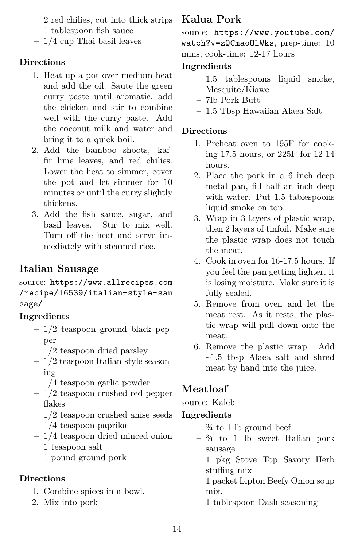- 2 red chilies, cut into thick strips
- 1 tablespoon fish sauce
- 1/4 cup Thai basil leaves

- 1. Heat up a pot over medium heat and add the oil. Saute the green curry paste until aromatic, add the chicken and stir to combine well with the curry paste. Add the coconut milk and water and bring it to a quick boil.
- 2. Add the bamboo shoots, kaffir lime leaves, and red chilies. Lower the heat to simmer, cover the pot and let simmer for 10 minutes or until the curry slightly thickens.
- <span id="page-13-0"></span>3. Add the fish sauce, sugar, and basil leaves. Stir to mix well. Turn off the heat and serve immediately with steamed rice.

## **Italian Sausage**

source: [https://www.allrecipes.com](https://www.allrecipes.com/recipe/16539/italian-style-sausage/) [/recipe/16539/italian-style-sau](https://www.allrecipes.com/recipe/16539/italian-style-sausage/) [sage/](https://www.allrecipes.com/recipe/16539/italian-style-sausage/)

#### **Ingredients**

- $-1/2$  teaspoon ground black pepper
- 1/2 teaspoon dried parsley
- 1/2 teaspoon Italian-style seasoning
- 1/4 teaspoon garlic powder
- 1/2 teaspoon crushed red pepper flakes
- 1/2 teaspoon crushed anise seeds
- 1/4 teaspoon paprika
- $-1/4$  teaspoon dried minced onion
- 1 teaspoon salt
- 1 pound ground pork

#### **Directions**

- 1. Combine spices in a bowl.
- <span id="page-13-1"></span>2. Mix into pork

## **Kalua Pork**

source: [https://www.youtube.com/](https://www.youtube.com/watch?v=zQCmaoOlWks) [watch?v=zQCmaoOlWks](https://www.youtube.com/watch?v=zQCmaoOlWks), prep-time: 10 mins, cook-time: 12-17 hours

## **Ingredients**

- 1.5 tablespoons liquid smoke, Mesquite/Kiawe
- 7lb Pork Butt
- 1.5 Tbsp Hawaiian Alaea Salt

#### **Directions**

- 1. Preheat oven to 195F for cooking 17.5 hours, or 225F for 12-14 hours.
- 2. Place the pork in a 6 inch deep metal pan, fill half an inch deep with water. Put 1.5 tablespoons liquid smoke on top.
- 3. Wrap in 3 layers of plastic wrap, then 2 layers of tinfoil. Make sure the plastic wrap does not touch the meat.
- 4. Cook in oven for 16-17.5 hours. If you feel the pan getting lighter, it is losing moisture. Make sure it is fully sealed.
- 5. Remove from oven and let the meat rest. As it rests, the plastic wrap will pull down onto the meat.
- <span id="page-13-2"></span>6. Remove the plastic wrap. Add ~1.5 tbsp Alaea salt and shred meat by hand into the juice.

## **Meatloaf**

source: Kaleb

- $\frac{3}{4}$  to 1 lb ground beef
- $-34$  to 1 lb sweet Italian pork sausage
- 1 pkg Stove Top Savory Herb stuffing mix
- 1 packet Lipton Beefy Onion soup mix.
- 1 tablespoon Dash seasoning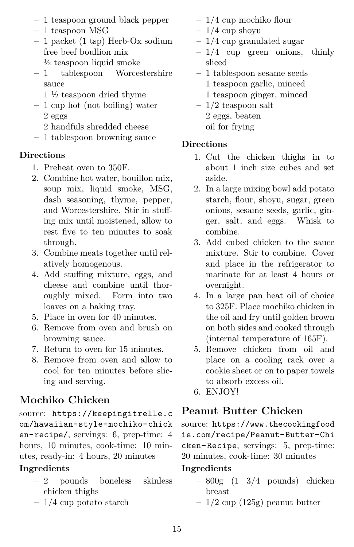- 1 teaspoon ground black pepper
- 1 teaspoon MSG
- 1 packet (1 tsp) Herb-Ox sodium free beef boullion mix
- $-$  ½ teaspoon liquid smoke
- 1 tablespoon Worcestershire sauce
- $-1\frac{1}{2}$  teaspoon dried thyme
- 1 cup hot (not boiling) water
- $-2$  eggs
- 2 handfuls shredded cheese
- 1 tablespoon browning sauce

- 1. Preheat oven to 350F.
- 2. Combine hot water, bouillon mix, soup mix, liquid smoke, MSG, dash seasoning, thyme, pepper, and Worcestershire. Stir in stuffing mix until moistened, allow to rest five to ten minutes to soak through.
- 3. Combine meats together until relatively homogenous.
- 4. Add stuffing mixture, eggs, and cheese and combine until thoroughly mixed. Form into two loaves on a baking tray.
- 5. Place in oven for 40 minutes.
- 6. Remove from oven and brush on browning sauce.
- 7. Return to oven for 15 minutes.
- <span id="page-14-0"></span>8. Remove from oven and allow to cool for ten minutes before slicing and serving.

## **Mochiko Chicken**

source: [https://keepingitrelle.c](https://keepingitrelle.com/hawaiian-style-mochiko-chicken-recipe/) [om/hawaiian-style-mochiko-chick](https://keepingitrelle.com/hawaiian-style-mochiko-chicken-recipe/) [en-recipe/](https://keepingitrelle.com/hawaiian-style-mochiko-chicken-recipe/), servings: 6, prep-time: 4 hours, 10 minutes, cook-time: 10 minutes, ready-in: 4 hours, 20 minutes

## **Ingredients**

- 2 pounds boneless skinless chicken thighs
- 1/4 cup potato starch
- 1/4 cup mochiko flour
- $-1/4$  cup shoyu
- 1/4 cup granulated sugar
- $-1/4$  cup green onions, thinly sliced
- 1 tablespoon sesame seeds
- 1 teaspoon garlic, minced
- 1 teaspoon ginger, minced
- $-1/2$  teaspoon salt
- 2 eggs, beaten
- oil for frying

## **Directions**

- 1. Cut the chicken thighs in to about 1 inch size cubes and set aside.
- 2. In a large mixing bowl add potato starch, flour, shoyu, sugar, green onions, sesame seeds, garlic, ginger, salt, and eggs. Whisk to combine.
- 3. Add cubed chicken to the sauce mixture. Stir to combine. Cover and place in the refrigerator to marinate for at least 4 hours or overnight.
- 4. In a large pan heat oil of choice to 325F. Place mochiko chicken in the oil and fry until golden brown on both sides and cooked through (internal temperature of 165F).
- 5. Remove chicken from oil and place on a cooling rack over a cookie sheet or on to paper towels to absorb excess oil.
- <span id="page-14-1"></span>6. ENJOY!

## **Peanut Butter Chicken**

source: [https://www.thecookingfood](https://www.thecookingfoodie.com/recipe/Peanut-Butter-Chicken-Recipe) [ie.com/recipe/Peanut-Butter-Chi](https://www.thecookingfoodie.com/recipe/Peanut-Butter-Chicken-Recipe) [cken-Recipe](https://www.thecookingfoodie.com/recipe/Peanut-Butter-Chicken-Recipe), servings: 5, prep-time: 20 minutes, cook-time: 30 minutes

- 800g (1 3/4 pounds) chicken breast
- $-1/2$  cup (125g) peanut butter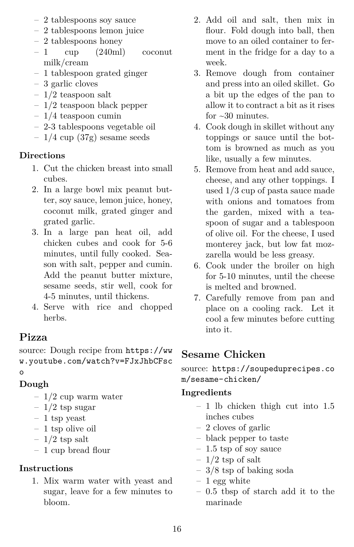- 2 tablespoons soy sauce
- 2 tablespoons lemon juice
- 2 tablespoons honey
- 1 cup (240ml) coconut milk/cream
- 1 tablespoon grated ginger
- 3 garlic cloves
- 1/2 teaspoon salt
- 1/2 teaspoon black pepper
- $-1/4$  teaspoon cumin
- 2-3 tablespoons vegetable oil
- $-1/4$  cup (37g) sesame seeds

- 1. Cut the chicken breast into small cubes.
- 2. In a large bowl mix peanut butter, soy sauce, lemon juice, honey, coconut milk, grated ginger and grated garlic.
- 3. In a large pan heat oil, add chicken cubes and cook for 5-6 minutes, until fully cooked. Season with salt, pepper and cumin. Add the peanut butter mixture, sesame seeds, stir well, cook for 4-5 minutes, until thickens.
- <span id="page-15-0"></span>4. Serve with rice and chopped herbs.

## **Pizza**

source: Dough recipe from [https://ww](https://www.youtube.com/watch?v=FJxJhbCFsco) [w.youtube.com/watch?v=FJxJhbCFsc](https://www.youtube.com/watch?v=FJxJhbCFsco) [o](https://www.youtube.com/watch?v=FJxJhbCFsco)

## **Dough**

- $-1/2$  cup warm water
- $-1/2$  tsp sugar
- 1 tsp yeast
- 1 tsp olive oil
- $-1/2$  tsp salt
- 1 cup bread flour

## **Instructions**

1. Mix warm water with yeast and sugar, leave for a few minutes to bloom.

- 2. Add oil and salt, then mix in flour. Fold dough into ball, then move to an oiled container to ferment in the fridge for a day to a week.
- 3. Remove dough from container and press into an oiled skillet. Go a bit up the edges of the pan to allow it to contract a bit as it rises for  $\sim 30$  minutes.
- 4. Cook dough in skillet without any toppings or sauce until the bottom is browned as much as you like, usually a few minutes.
- 5. Remove from heat and add sauce, cheese, and any other toppings. I used 1/3 cup of pasta sauce made with onions and tomatoes from the garden, mixed with a teaspoon of sugar and a tablespoon of olive oil. For the cheese, I used monterey jack, but low fat mozzarella would be less greasy.
- 6. Cook under the broiler on high for 5-10 minutes, until the cheese is melted and browned.
- <span id="page-15-1"></span>7. Carefully remove from pan and place on a cooling rack. Let it cool a few minutes before cutting into it.

## **Sesame Chicken**

source: [https://soupeduprecipes.co](https://soupeduprecipes.com/sesame-chicken/) [m/sesame-chicken/](https://soupeduprecipes.com/sesame-chicken/)

- 1 lb chicken thigh cut into 1.5 inches cubes
- 2 cloves of garlic
- black pepper to taste
- 1.5 tsp of soy sauce
- $-1/2$  tsp of salt
- $-3/8$  tsp of baking soda
- $-1$  egg white
- 0.5 tbsp of starch add it to the marinade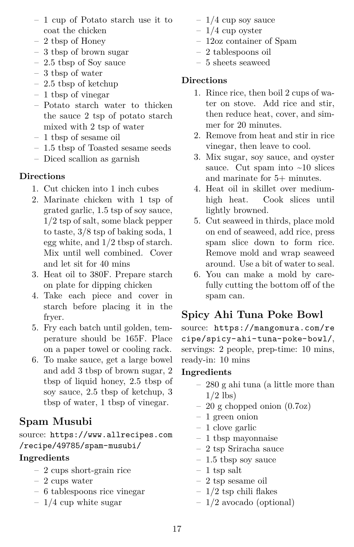- 1 cup of Potato starch use it to coat the chicken
- 2 tbsp of Honey
- 3 tbsp of brown sugar
- 2.5 tbsp of Soy sauce
- 3 tbsp of water
- 2.5 tbsp of ketchup
- 1 tbsp of vinegar
- Potato starch water to thicken the sauce 2 tsp of potato starch mixed with 2 tsp of water
- 1 tbsp of sesame oil
- 1.5 tbsp of Toasted sesame seeds
- Diced scallion as garnish

- 1. Cut chicken into 1 inch cubes
- 2. Marinate chicken with 1 tsp of grated garlic, 1.5 tsp of soy sauce, 1/2 tsp of salt, some black pepper to taste, 3/8 tsp of baking soda, 1 egg white, and 1/2 tbsp of starch. Mix until well combined. Cover and let sit for 40 mins
- 3. Heat oil to 380F. Prepare starch on plate for dipping chicken
- 4. Take each piece and cover in starch before placing it in the fryer.
- 5. Fry each batch until golden, temperature should be 165F. Place on a paper towel or cooling rack.
- <span id="page-16-0"></span>6. To make sauce, get a large bowel and add 3 tbsp of brown sugar, 2 tbsp of liquid honey, 2.5 tbsp of soy sauce, 2.5 tbsp of ketchup, 3 tbsp of water, 1 tbsp of vinegar.

## **Spam Musubi**

source: [https://www.allrecipes.com](https://www.allrecipes.com/recipe/49785/spam-musubi/) [/recipe/49785/spam-musubi/](https://www.allrecipes.com/recipe/49785/spam-musubi/)

### **Ingredients**

- 2 cups short-grain rice
- 2 cups water
- 6 tablespoons rice vinegar
- $-1/4$  cup white sugar
- $-1/4$  cup soy sauce
- $-1/4$  cup oyster
- 12oz container of Spam
- 2 tablespoons oil
- 5 sheets seaweed

### **Directions**

- 1. Rince rice, then boil 2 cups of water on stove. Add rice and stir, then reduce heat, cover, and simmer for 20 minutes.
- 2. Remove from heat and stir in rice vinegar, then leave to cool.
- 3. Mix sugar, soy sauce, and oyster sauce. Cut spam into  $\sim 10$  slices and marinate for 5+ minutes.
- 4. Heat oil in skillet over mediumhigh heat. Cook slices until lightly browned.
- 5. Cut seaweed in thirds, place mold on end of seaweed, add rice, press spam slice down to form rice. Remove mold and wrap seaweed around. Use a bit of water to seal.
- <span id="page-16-1"></span>6. You can make a mold by carefully cutting the bottom off of the spam can.

## **Spicy Ahi Tuna Poke Bowl**

source: [https://mangomura.com/re](https://mangomura.com/recipe/spicy-ahi-tuna-poke-bowl/) [cipe/spicy-ahi-tuna-poke-bowl/](https://mangomura.com/recipe/spicy-ahi-tuna-poke-bowl/), servings: 2 people, prep-time: 10 mins, ready-in: 10 mins

- 280 g ahi tuna (a little more than  $1/2$  lbs)
- 20 g chopped onion (0.7oz)
- 1 green onion
- 1 clove garlic
- 1 tbsp mayonnaise
- 2 tsp Sriracha sauce
- $-$  1.5 tbsp soy sauce
- 1 tsp salt
- 2 tsp sesame oil
- $-1/2$  tsp chili flakes
- 1/2 avocado (optional)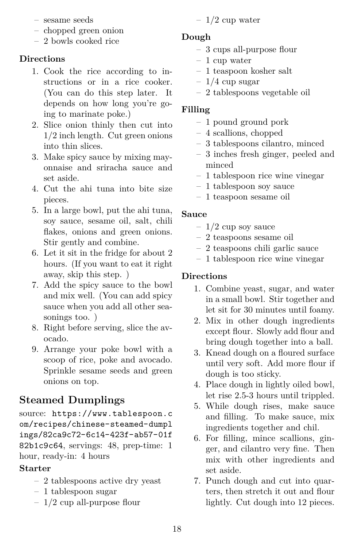- sesame seeds
- chopped green onion
- 2 bowls cooked rice

- 1. Cook the rice according to instructions or in a rice cooker. (You can do this step later. It depends on how long you're going to marinate poke.)
- 2. Slice onion thinly then cut into 1/2 inch length. Cut green onions into thin slices.
- 3. Make spicy sauce by mixing mayonnaise and sriracha sauce and set aside.
- 4. Cut the ahi tuna into bite size pieces.
- 5. In a large bowl, put the ahi tuna, soy sauce, sesame oil, salt, chili flakes, onions and green onions. Stir gently and combine.
- 6. Let it sit in the fridge for about 2 hours. (If you want to eat it right away, skip this step. )
- 7. Add the spicy sauce to the bowl and mix well. (You can add spicy sauce when you add all other seasonings too. )
- 8. Right before serving, slice the avocado.
- <span id="page-17-0"></span>9. Arrange your poke bowl with a scoop of rice, poke and avocado. Sprinkle sesame seeds and green onions on top.

## **Steamed Dumplings**

source: [https://www.tablespoon.c](https://www.tablespoon.com/recipes/chinese-steamed-dumplings/82ca9c72-6c14-423f-ab57-01f82b1c9c64) [om/recipes/chinese-steamed-dumpl](https://www.tablespoon.com/recipes/chinese-steamed-dumplings/82ca9c72-6c14-423f-ab57-01f82b1c9c64) [ings/82ca9c72-6c14-423f-ab57-01f](https://www.tablespoon.com/recipes/chinese-steamed-dumplings/82ca9c72-6c14-423f-ab57-01f82b1c9c64) [82b1c9c64](https://www.tablespoon.com/recipes/chinese-steamed-dumplings/82ca9c72-6c14-423f-ab57-01f82b1c9c64), servings: 48, prep-time: 1 hour, ready-in: 4 hours

#### **Starter**

- 2 tablespoons active dry yeast
- 1 tablespoon sugar
- 1/2 cup all-purpose flour

 $-1/2$  cup water

#### **Dough**

- 3 cups all-purpose flour
- 1 cup water
- 1 teaspoon kosher salt
- $-1/4$  cup sugar
- 2 tablespoons vegetable oil

#### **Filling**

- 1 pound ground pork
- 4 scallions, chopped
- 3 tablespoons cilantro, minced
- 3 inches fresh ginger, peeled and minced
- 1 tablespoon rice wine vinegar
- 1 tablespoon soy sauce
- 1 teaspoon sesame oil

#### **Sauce**

- $-1/2$  cup soy sauce
- 2 teaspoons sesame oil
- 2 teaspoons chili garlic sauce
- 1 tablespoon rice wine vinegar

- 1. Combine yeast, sugar, and water in a small bowl. Stir together and let sit for 30 minutes until foamy.
- 2. Mix in other dough ingredients except flour. Slowly add flour and bring dough together into a ball.
- 3. Knead dough on a floured surface until very soft. Add more flour if dough is too sticky.
- 4. Place dough in lightly oiled bowl, let rise 2.5-3 hours until trippled.
- 5. While dough rises, make sauce and filling. To make sauce, mix ingredients together and chil.
- 6. For filling, mince scallions, ginger, and cilantro very fine. Then mix with other ingredients and set aside.
- 7. Punch dough and cut into quarters, then stretch it out and flour lightly. Cut dough into 12 pieces.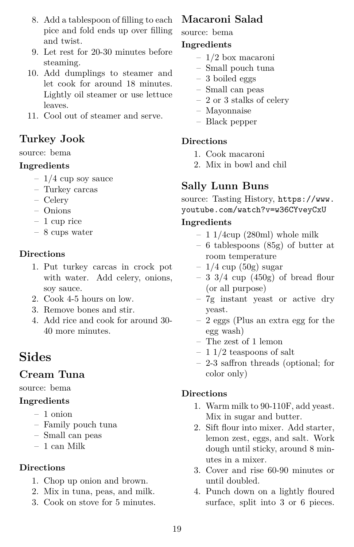- 8. Add a tablespoon of filling to each pice and fold ends up over filling and twist.
- 9. Let rest for 20-30 minutes before steaming.
- 10. Add dumplings to steamer and let cook for around 18 minutes. Lightly oil steamer or use lettuce leaves.
- <span id="page-18-0"></span>11. Cool out of steamer and serve.

### **Turkey Jook**

source: bema

#### **Ingredients**

- $-1/4$  cup soy sauce
- Turkey carcas
- Celery
- Onions
- 1 cup rice
- 8 cups water

#### **Directions**

- 1. Put turkey carcas in crock pot with water. Add celery, onions, soy sauce.
- 2. Cook 4-5 hours on low.
- 3. Remove bones and stir.
- <span id="page-18-1"></span>4. Add rice and cook for around 30- 40 more minutes.

## **Sides**

### **Cream Tuna**

#### <span id="page-18-2"></span>source: bema

#### **Ingredients**

- 1 onion
- Family pouch tuna
- Small can peas
- 1 can Milk

#### **Directions**

- 1. Chop up onion and brown.
- 2. Mix in tuna, peas, and milk.
- <span id="page-18-3"></span>3. Cook on stove for 5 minutes.

## **Macaroni Salad**

#### source: bema

#### **Ingredients**

- 1/2 box macaroni
- Small pouch tuna
- 3 boiled eggs
- Small can peas
- 2 or 3 stalks of celery
- Mayonnaise
- Black pepper

#### **Directions**

- 1. Cook macaroni
- <span id="page-18-4"></span>2. Mix in bowl and chil

## **Sally Lunn Buns**

source: Tasting History, [https://www.](https://www.youtube.com/watch?v=w36CYveyCxU) [youtube.com/watch?v=w36CYveyCxU](https://www.youtube.com/watch?v=w36CYveyCxU)

#### **Ingredients**

- $-11/4$ cup (280ml) whole milk
- 6 tablespoons (85g) of butter at room temperature
- $-1/4$  cup (50g) sugar
- $-3$  3/4 cup (450g) of bread flour (or all purpose)
- 7g instant yeast or active dry yeast.
- 2 eggs (Plus an extra egg for the egg wash)
- The zest of 1 lemon
- $-11/2$  teaspoons of salt
- 2-3 saffron threads (optional; for color only)

- 1. Warm milk to 90-110F, add yeast. Mix in sugar and butter.
- 2. Sift flour into mixer. Add starter, lemon zest, eggs, and salt. Work dough until sticky, around 8 minutes in a mixer.
- 3. Cover and rise 60-90 minutes or until doubled.
- 4. Punch down on a lightly floured surface, split into 3 or 6 pieces.